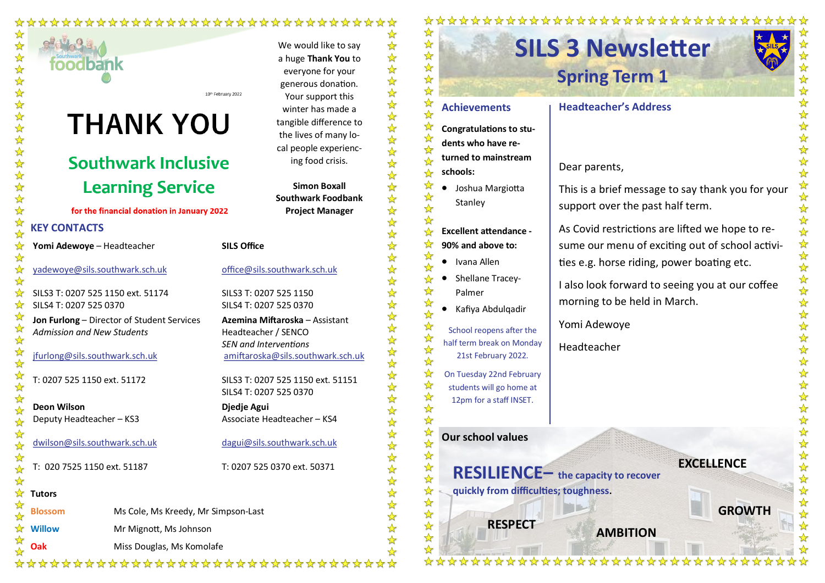### \*\*\*\*\*\*\*\*\*\*\*\*\*\*\*\*\*\*\*\*\*\*\*\*\*\*\*\*\*\*



## **Southwark Inclusive Learning Service**

### for the financial donation in January 2022

### **KEY CONTACTS**

☆

☆

 $\rightarrow$ 

 $\rightarrow$ 

☆

☆

**Yomi Adewoye** – Headteacher

[yadewoye@sils.southwark.sch.uk](mailto:yadewoye@sils.southwark.sch.uk)

SILS3 T: 0207 525 1150 ext. 51174 SILS4 T: 0207 525 0370

**Jon Furlong** – Director of Student Services *Admission and New Students*

**Oak** Miss Douglas, Ms Komolafe

[jfurlong@sils.southwark.sch.uk](mailto:jfurlong@sils.southwark.sch.uk)

T: 0207 525 1150 ext. 51172

**Deon Wilson** Deputy Headteacher – KS3

[dwilson@sils.southwark.sch.uk](mailto:dwilson@sils.southwark.sch.uk)

T: 020 7525 1150 ext. 51187

### **Tutors**

☆ **Blossom** Ms Cole, Ms Kreedy, Mr Simpson-Last ✦ **Willow** Mr Mignott, Ms Johnson

₩

[office@sils.southwark.sch.uk](mailto:office@sils.southwark.sch.uk) **Djedje Agui** T: 0207 525 0370 ext. 50371

\*\*\*\*\*\*\*\*\*\*\*\*\*\*\*\*\*\*\*\*\*\*\*\*\*\*\*\*\*\*\*\*\*\*

We would like to say a huge **Thank You** to everyone for your generous donation. Your support this winter has made a tangible difference to the lives of many local people experiencing food crisis.

**Simon Boxall Southwark Foodbank Project Manager**

**SILS Office**

SILS3 T: 0207 525 1150 SILS4 T: 0207 525 0370

**Azemina Miftaroska** – Assistant Headteacher / SENCO *SEN and Interventions* [amiftaroska@sils.southwark.sch.uk](mailto:amiftaroska@sils.southwark.sch.uk)

SILS3 T: 0207 525 1150 ext. 51151 SILS4 T: 0207 525 0370

Associate Headteacher – KS4

[dagui@sils.southwark.sch.uk](mailto:dagui@sils.southwark.sch.uk)

☆  $\frac{\lambda}{\lambda}$ • Joshua Margiotta ☆ ☆ Stanley  $\frac{1}{2}$ ☆

**schools:** 

☆  $\rightarrow$ 

 $\rightarrow$ 

 $\rightarrow$ 

 $\rightarrow$ 

 $\rightarrow$ 

 $\rightarrow$ 

 $\frac{1}{2}$ 

☆

 $\frac{1}{2}$ 

 $\frac{1}{2}$ 

 $\frac{1}{2}$ 

 $\rightarrow$ 

☆

 $\frac{1}{2}$ 

 $\rightarrow$ ☆ ☆ ଧ ☆ ☆ ☆ ☆  $\frac{1}{\sqrt{2}}$ 

 $\frac{1}{\sqrt{2}}$ 

 $\rightarrow$ 

☆

 $\rightarrow$ 

 $\rightarrow$ 

☆

❖

☆

☆

☆

☆

☆

 $\frac{\lambda}{\lambda}$ 

⇘

 $\rightarrow$ 

 $\frac{1}{\sqrt{2}}$ 

 $\frac{1}{\sqrt{2}}$ 

 $\frac{\lambda}{\lambda}$ 

☆

☆

 $\frac{\lambda}{\lambda}$ 

 $\frac{1}{\sqrt{2}}$ 

☆

 $\frac{\lambda}{\lambda}$ 

 $\frac{1}{\mathbf{k}^2}$ 

 $\frac{1}{\sqrt{2}}$ 

 $\frac{\lambda}{\lambda}$ 

 $\frac{1}{\sqrt{2}}$ 

 $\frac{1}{\sqrt{2}}$ 

 $\frac{1}{M}$ 

☆

**Excellent attendance - 90% and above to:** 

**Achievements**

**Congratulations to students who have returned to mainstream** 

• Ivana Allen

- ⇘ • Shellane Tracey-⇘ Palmer
	- Kafiya Abdulqadir

 $\frac{1}{2}$ School reopens after the ☆ half term break on Monday ☆ 21st February 2022.  $\rightarrow$ 

> On Tuesday 22nd February students will go home at 12pm for a staff INSET.

### **Our school values**

**RESILIENCE– the capacity to recover quickly from difficulties; toughness.** 

**RESPECT AMBITION**

\*\*\*\*\*\*\*\*\*\*\*\*\*\*

# **Headteacher's Address**

\*\*\*\*\*\*\*\*\*\*\*\*\*\*\*\*\*\*\*\*\*

Dear parents,

This is a brief message to say thank you for your support over the past half term.

As Covid restrictions are lifted we hope to resume our menu of exciting out of school activities e.g. horse riding, power boating etc.

I also look forward to seeing you at our coffee morning to be held in March.

**EXCELLENCE**

**GROWTH**

Yomi Adewoye

Headteacher

# **SILS 3 Newsletter Spring Term 1**